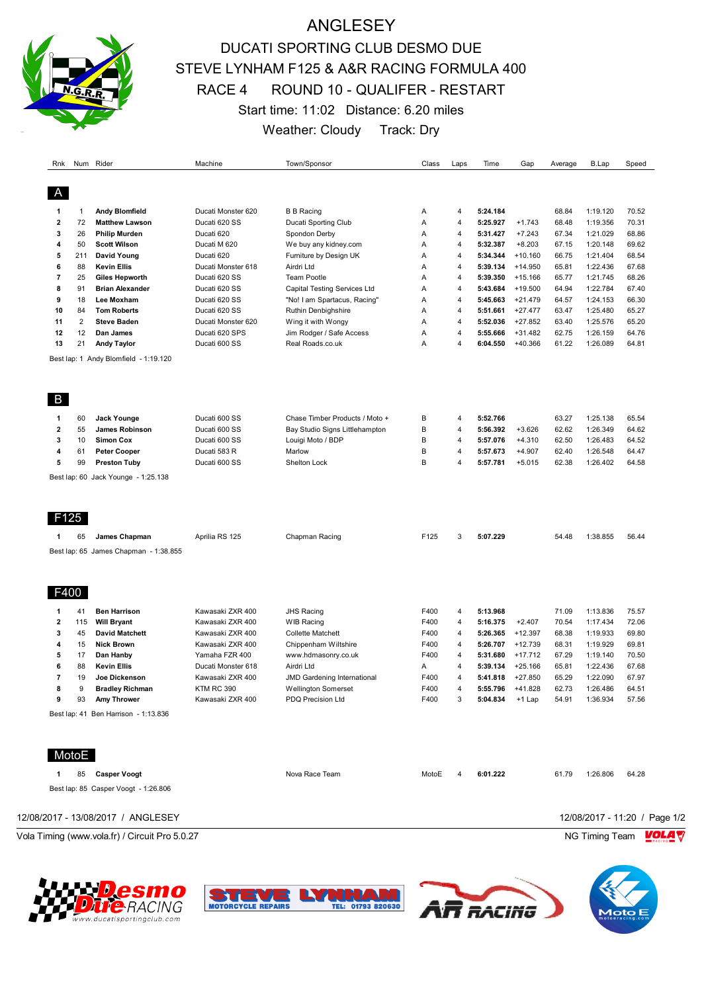

# ANGLESEY DUCATI SPORTING CLUB DESMO DUE STEVE LYNHAM F125 & A&R RACING FORMULA 400 RACE 4 ROUND 10 - QUALIFER - RESTART Start time: 11:02 Distance: 6.20 miles Weather: Cloudy Track: Dry

| Rnk                     |                | Num Rider                             | Machine                    | Town/Sponsor                                    | Class          | Laps                | Time                 | Gap                   | Average        | B.Lap                | Speed          |
|-------------------------|----------------|---------------------------------------|----------------------------|-------------------------------------------------|----------------|---------------------|----------------------|-----------------------|----------------|----------------------|----------------|
|                         |                |                                       |                            |                                                 |                |                     |                      |                       |                |                      |                |
| A                       |                |                                       |                            |                                                 |                |                     |                      |                       |                |                      |                |
| 1                       | $\mathbf{1}$   | Andy Blomfield                        | Ducati Monster 620         | <b>B B Racing</b>                               | Α              | 4                   | 5:24.184             |                       | 68.84          | 1:19.120             | 70.52          |
| $\overline{2}$          | 72             | <b>Matthew Lawson</b>                 | Ducati 620 SS              | <b>Ducati Sporting Club</b>                     | Α              | 4                   | 5:25.927             | $+1.743$              | 68.48          | 1:19.356             | 70.31          |
| 3<br>4                  | 26             | <b>Philip Murden</b>                  | Ducati 620                 | Spondon Derby                                   | A              | $\overline{4}$<br>4 | 5:31.427             | $+7.243$              | 67.34          | 1:21.029             | 68.86          |
| 5                       | 50<br>211      | <b>Scott Wilson</b><br>David Young    | Ducati M 620<br>Ducati 620 | We buy any kidney.com<br>Furniture by Design UK | Α<br>A         | $\overline{4}$      | 5:32.387<br>5:34.344 | $+8.203$<br>$+10.160$ | 67.15<br>66.75 | 1:20.148<br>1:21.404 | 69.62<br>68.54 |
| 6                       | 88             | <b>Kevin Ellis</b>                    | Ducati Monster 618         | Airdri Ltd                                      | Α              | 4                   | 5:39.134             | $+14.950$             | 65.81          | 1:22.436             | 67.68          |
| $\overline{7}$          | 25             | <b>Giles Hepworth</b>                 | Ducati 620 SS              | <b>Team Pootle</b>                              | A              | 4                   | 5:39.350             | $+15.166$             | 65.77          | 1:21.745             | 68.26          |
| 8                       | 91             | <b>Brian Alexander</b>                | Ducati 620 SS              | Capital Testing Services Ltd                    | Α              | 4                   | 5:43.684             | $+19.500$             | 64.94          | 1:22.784             | 67.40          |
| 9                       | 18             | Lee Moxham                            | Ducati 620 SS              | "No! I am Spartacus, Racing"                    | Α              | 4                   | 5:45.663             | $+21.479$             | 64.57          | 1:24.153             | 66.30          |
| 10                      | 84             | <b>Tom Roberts</b>                    | Ducati 620 SS              | Ruthin Denbighshire                             | $\overline{A}$ | $\overline{4}$      | 5:51.661             | $+27.477$             | 63.47          | 1:25.480             | 65.27          |
| 11                      | $\overline{2}$ | <b>Steve Baden</b>                    | Ducati Monster 620         | Wing it with Wongy                              | Α              | 4                   | 5:52.036             | $+27.852$             | 63.40          | 1:25.576             | 65.20          |
| 12                      | 12             | Dan James                             | Ducati 620 SPS             | Jim Rodger / Safe Access                        | A              | $\overline{4}$      | 5:55.666             | $+31.482$             | 62.75          | 1:26.159             | 64.76          |
| 13                      | 21             | <b>Andy Taylor</b>                    | Ducati 600 SS              | Real Roads.co.uk                                | Α              | $\overline{4}$      | 6:04.550             | $+40.366$             | 61.22          | 1:26.089             | 64.81          |
|                         |                |                                       |                            |                                                 |                |                     |                      |                       |                |                      |                |
|                         |                | Best lap: 1 Andy Blomfield - 1:19.120 |                            |                                                 |                |                     |                      |                       |                |                      |                |
|                         |                |                                       |                            |                                                 |                |                     |                      |                       |                |                      |                |
| B                       |                |                                       |                            |                                                 |                |                     |                      |                       |                |                      |                |
| 1                       | 60             | Jack Younge                           | Ducati 600 SS              | Chase Timber Products / Moto +                  | B              | 4                   | 5:52.766             |                       | 63.27          | 1:25.138             | 65.54          |
| $\overline{\mathbf{2}}$ | 55             | James Robinson                        | Ducati 600 SS              | Bay Studio Signs Littlehampton                  | $\sf B$        | 4                   | 5:56.392             | $+3.626$              | 62.62          | 1:26.349             | 64.62          |
| 3                       | 10             | <b>Simon Cox</b>                      | Ducati 600 SS              | Louigi Moto / BDP                               | B              | 4                   | 5:57.076             | $+4.310$              | 62.50          | 1:26.483             | 64.52          |
| 4                       | 61             | Peter Cooper                          | Ducati 583 R               | Marlow                                          | B              | 4                   | 5:57.673             | $+4.907$              | 62.40          | 1:26.548             | 64.47          |
| 5                       | 99             | <b>Preston Tuby</b>                   | Ducati 600 SS              | Shelton Lock                                    | B              | $\overline{4}$      | 5:57.781             | $+5.015$              | 62.38          | 1:26.402             | 64.58          |
|                         |                | Best lap: 60 Jack Younge - 1:25.138   |                            |                                                 |                |                     |                      |                       |                |                      |                |
|                         |                |                                       |                            |                                                 |                |                     |                      |                       |                |                      |                |
|                         |                |                                       |                            |                                                 |                |                     |                      |                       |                |                      |                |
|                         |                |                                       |                            |                                                 |                |                     |                      |                       |                |                      |                |
| F125                    |                |                                       |                            |                                                 |                |                     |                      |                       |                |                      |                |
| -1                      | 65             | James Chapman                         | Aprilia RS 125             | Chapman Racing                                  | F125           | 3                   | 5:07.229             |                       | 54.48          | 1:38.855             | 56.44          |
|                         |                | Best lap: 65 James Chapman - 1:38.855 |                            |                                                 |                |                     |                      |                       |                |                      |                |
|                         |                |                                       |                            |                                                 |                |                     |                      |                       |                |                      |                |
|                         |                |                                       |                            |                                                 |                |                     |                      |                       |                |                      |                |
| F400                    |                |                                       |                            |                                                 |                |                     |                      |                       |                |                      |                |
| 1                       | 41             | <b>Ben Harrison</b>                   | Kawasaki ZXR 400           | <b>JHS Racing</b>                               | F400           | 4                   | 5:13.968             |                       | 71.09          | 1:13.836             | 75.57          |
| $\overline{\mathbf{2}}$ | 115            | <b>Will Bryant</b>                    | Kawasaki ZXR 400           | <b>WIB Racing</b>                               | F400           | 4                   | 5:16.375             | $+2.407$              | 70.54          | 1:17.434             | 72.06          |
| 3                       | 45             | <b>David Matchett</b>                 | Kawasaki ZXR 400           | <b>Collette Matchett</b>                        | F400           | 4                   | 5:26.365             | $+12.397$             | 68.38          | 1:19.933             | 69.80          |
| $\overline{\mathbf{4}}$ | 15             | <b>Nick Brown</b>                     | Kawasaki ZXR 400           | Chippenham Wiltshire                            | F400           | 4                   | 5:26.707             | $+12.739$             | 68.31          | 1:19.929             | 69.81          |
| 5                       | 17             | Dan Hanby                             | Yamaha FZR 400             | www.hdmasonry.co.uk                             | F400           | 4                   | 5:31.680             | $+17.712$             | 67.29          | 1:19.140             | 70.50          |
| 6                       | 88             | <b>Kevin Ellis</b>                    | Ducati Monster 618         | Airdri Ltd                                      | Α              | $\overline{4}$      | 5:39.134             | $+25.166$             | 65.81          | 1:22.436             | 67.68          |
| $\overline{7}$          | 19             | Joe Dickenson                         | Kawasaki ZXR 400           | <b>JMD Gardening International</b>              | F400           | 4                   | 5:41.818             | $+27.850$             | 65.29          | 1:22.090             | 67.97          |
| 8                       | 9              | <b>Bradley Richman</b>                | <b>KTM RC 390</b>          | <b>Wellington Somerset</b>                      | F400           | $\overline{4}$      | 5:55.796             | $+41.828$             | 62.73          | 1:26.486             | 64.51          |
| 9                       | 93             | Amy Thrower                           | Kawasaki ZXR 400           | PDQ Precision Ltd                               | F400           | 3                   | 5:04.834             | $+1$ Lap              | 54.91          | 1:36.934             | 57.56          |
|                         |                | Best lap: 41 Ben Harrison - 1:13.836  |                            |                                                 |                |                     |                      |                       |                |                      |                |
|                         |                |                                       |                            |                                                 |                |                     |                      |                       |                |                      |                |
|                         |                |                                       |                            |                                                 |                |                     |                      |                       |                |                      |                |
|                         | MotoE          |                                       |                            |                                                 |                |                     |                      |                       |                |                      |                |

| 85<br>Casper Voogt                   | Nova Race Team | 6:01.222<br>MotoE | 1:26.806<br>64.28<br>61.79    |
|--------------------------------------|----------------|-------------------|-------------------------------|
| Best lap: 85 Casper Voogt - 1:26.806 |                |                   |                               |
| 12/08/2017 - 13/08/2017 / ANGLESEY   |                |                   | 12/08/2017 - 11:20 / Page 1/2 |

Vola Timing (www.vola.fr) / Circuit Pro 5.0.27 NG Timing Team NG Timing Team NG Timing Team NG Timing Team NG





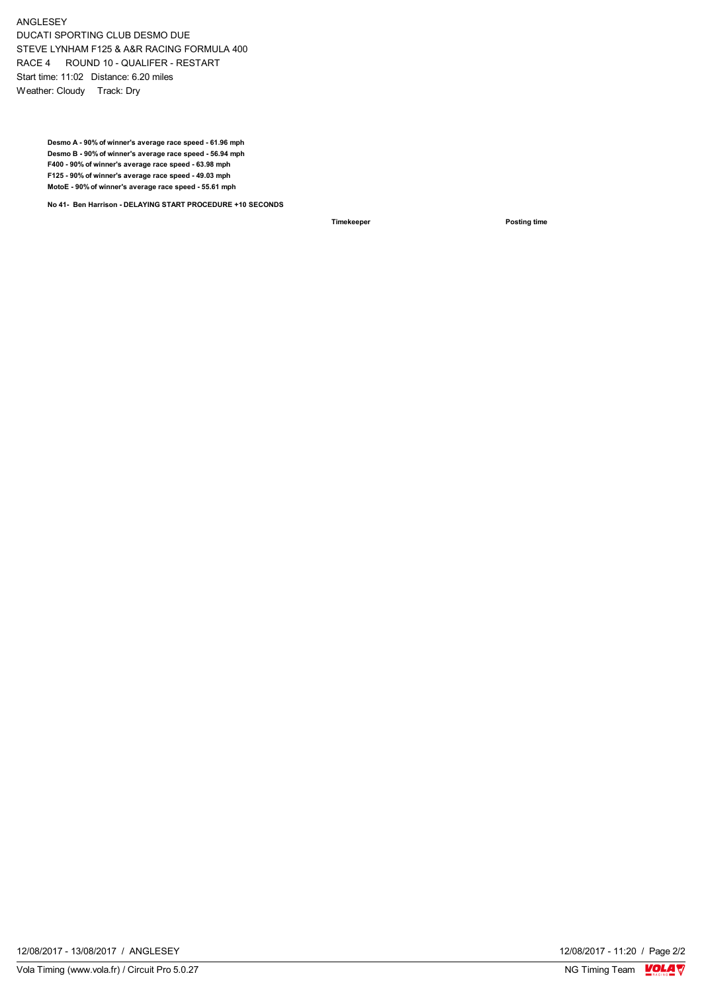ANGLESEY DUCATI SPORTING CLUB DESMO DUE STEVE LYNHAM F125 & A&R RACING FORMULA 400 RACE 4 ROUND 10 - QUALIFER - RESTART Start time: 11:02 Distance: 6.20 miles Weather: Cloudy Track: Dry

> **Desmo A - 90% of winner's average race speed - 61.96 mph Desmo B - 90% of winner's average race speed - 56.94 mph F400 - 90% of winner's average race speed - 63.98 mph F125 - 90% of winner's average race speed - 49.03 mph MotoE - 90% of winner's average race speed - 55.61 mph**

**No 41- Ben Harrison - DELAYING START PROCEDURE +10 SECONDS**

**Timekeeper Posting time** 

12/08/2017 - 13/08/2017 / ANGLESEY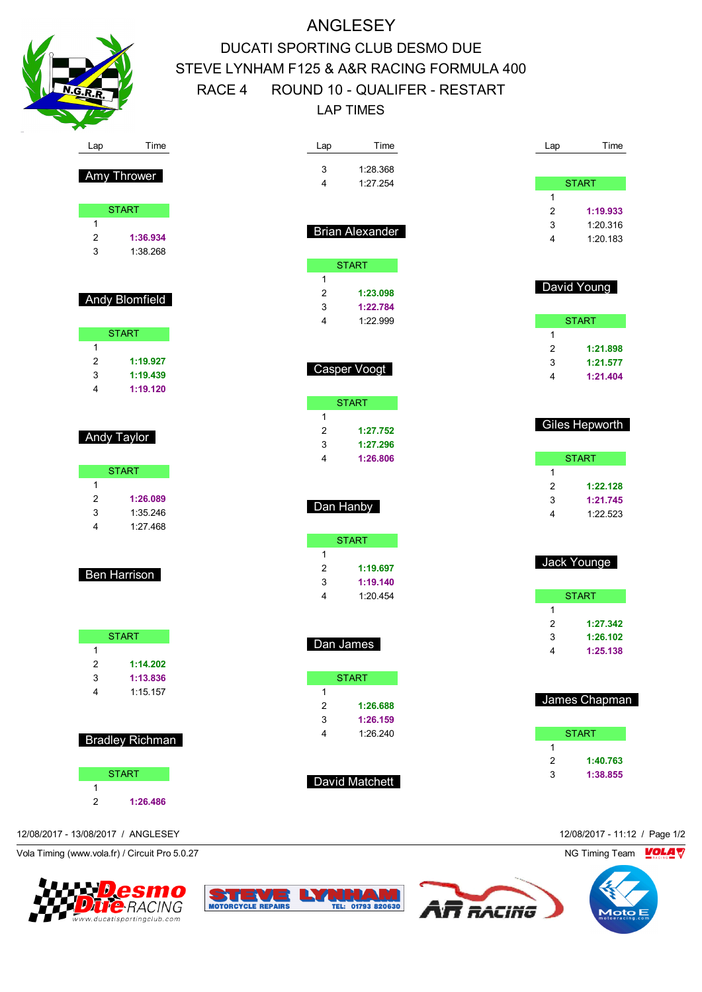

Amy Thrower

START

2 **1:36.934** 3 1:38.268

Andy Blomfield

START

2 **1:19.927** 3 **1:19.439** 4 **1:19.120**

Andy Taylor

**START** 

2 **1:26.089** 3 1:35.246 4 1:27.468

**Ben Harrison** 

**START** 

2 **1:14.202** 3 **1:13.836** 4 1:15.157

Bradley Richman

**START** 

2 **1:26.486**

1

1

1

1

# ANGLESEY DUCATI SPORTING CLUB DESMO DUE STEVE LYNHAM F125 & A&R RACING FORMULA 400 RACE 4 ROUND 10 - QUALIFER - RESTART LAP TIMES

| Lap                 | Time                   | Lap              | Time                 |
|---------------------|------------------------|------------------|----------------------|
| 3                   | 1:28.368               |                  |                      |
| 4                   | 1:27.254               |                  | <b>START</b>         |
|                     |                        | $\mathbf{1}$     |                      |
|                     |                        | $\overline{2}$   | 1:19.933             |
|                     | <b>Brian Alexander</b> | 3<br>4           | 1:20.316<br>1:20.183 |
|                     |                        |                  |                      |
|                     | <b>START</b>           |                  |                      |
| 1                   |                        |                  | David Young          |
| $\overline{2}$      | 1:23.098               |                  |                      |
| 3                   | 1:22.784               |                  |                      |
| 4                   | 1:22.999               | 1                | <b>START</b>         |
|                     |                        | 2                | 1:21.898             |
|                     |                        | 3                | 1:21.577             |
|                     | Casper Voogt           | 4                | 1:21.404             |
|                     |                        |                  |                      |
|                     | <b>START</b>           |                  |                      |
| $\mathbf{1}$        |                        |                  | Giles Hepworth       |
| $\overline{2}$<br>3 | 1:27.752<br>1:27.296   |                  |                      |
| 4                   | 1:26.806               |                  | <b>START</b>         |
|                     |                        | 1                |                      |
|                     |                        | 2                | 1:22.128             |
|                     | Dan Hanby              | 3                | 1:21.745             |
|                     |                        | 4                | 1:22.523             |
|                     | <b>START</b>           |                  |                      |
| 1                   |                        |                  |                      |
| $\overline{2}$      | 1:19.697               |                  | Jack Younge          |
| 3                   | 1:19.140               |                  |                      |
| 4                   | 1:20.454               |                  | <b>START</b>         |
|                     |                        | 1                |                      |
|                     |                        | 2<br>3           | 1:27.342<br>1:26.102 |
| Dan James           |                        | 4                | 1:25.138             |
|                     |                        |                  |                      |
|                     | <b>START</b>           |                  |                      |
| $\mathbf{1}$        |                        |                  | James Chapman        |
| $\overline{2}$      | 1:26.688               |                  |                      |
| 3<br>4              | 1:26.159<br>1:26.240   |                  | <b>START</b>         |
|                     |                        | 1                |                      |
|                     |                        | $\boldsymbol{2}$ | 1:40.763             |
|                     | David Matchett         | 3                | 1:38.855             |
|                     |                        |                  |                      |
|                     |                        |                  |                      |

12/08/2017 - 13/08/2017 / ANGLESEY 12/08/2017 - 11:12 / Page 1/2

1

Vola Timing (www.vola.fr) / Circuit Pro 5.0.27 NG Timing Team Motor NG Timing Team Motor NG Timing Team Motor





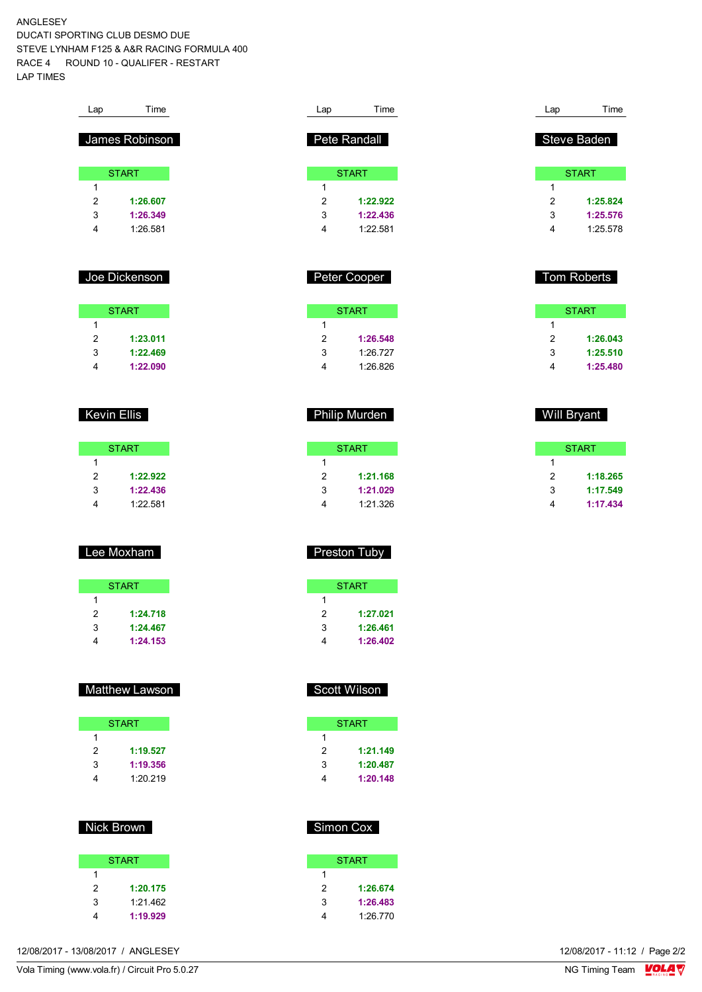ANGLESEY DUCATI SPORTING CLUB DESMO DUE STEVE LYNHAM F125 & A&R RACING FORMULA 400 RACE 4 ROUND 10 - QUALIFER - RESTART LAP TIMES

| Lap | Time           |  |
|-----|----------------|--|
|     | James Robinson |  |
|     | <b>START</b>   |  |
| 1   |                |  |
| 2   | 1:26.607       |  |
| 3   | 1:26.349       |  |
| 4   | 1.26.581       |  |
|     |                |  |
|     |                |  |
|     | Joe Dickenson  |  |
|     |                |  |
|     |                |  |

|   | <b>START</b> |
|---|--------------|
| 1 |              |
| 2 | 1:23.011     |
| 3 | 1:22.469     |
| 4 | 1:22.090     |

### Kevin Ellis

|   | <b>START</b> |
|---|--------------|
| 1 |              |
| 2 | 1:22.922     |
| 3 | 1:22.436     |
|   | 1.22.581     |

# Lee Moxham

|   | <b>START</b> |
|---|--------------|
| 1 |              |
| 2 | 1:24.718     |
| 3 | 1:24.467     |
|   | 1:24.153     |

### Matthew Lawson

|   | <b>START</b> |
|---|--------------|
|   |              |
| 2 | 1:19.527     |
| 3 | 1:19.356     |
|   | 1:20.219     |

### Nick Brown

|   | <b>START</b> |
|---|--------------|
| 1 |              |
| 2 | 1:20.175     |
| 3 | 1:21.462     |
| 4 | 1:19.929     |

|   | Pete Randall |
|---|--------------|
|   | <b>START</b> |
| 1 |              |
| 2 | 1:22.922     |
| 3 | 1:22.436     |
|   | 1.22.581     |
|   |              |

Lap Time

|   | Peter Cooper |  |
|---|--------------|--|
|   | <b>START</b> |  |
| 1 |              |  |
| 2 | 1:26.548     |  |
| 3 | 1.26 727     |  |
|   | 1:26.826     |  |

Philip Murden

| START    |
|----------|
|          |
| 1:21.168 |
| 1:21.029 |
| 1:21.326 |
|          |

## Preston Tuby

|   | <b>START</b> |
|---|--------------|
|   |              |
| 2 | 1:27.021     |
| 3 | 1:26.461     |
|   | 1:26.402     |

# Scott Wilson

| <b>START</b> |
|--------------|
|              |
| 1:21.149     |
| 1:20.487     |
| 1:20.148     |
|              |

# Simon Cox

| <b>START</b> |
|--------------|
|              |
| 1:26.674     |
| 1:26.483     |
| 1:26.770     |
|              |

| Lap | Time         |
|-----|--------------|
|     |              |
|     | Steve Baden  |
|     |              |
|     | <b>START</b> |
| 1   |              |
| 2   | 1:25.824     |
| 3   | 1:25.576     |
|     | 1:25.578     |

### Tom Roberts

| START |          |  |  |  |  |  |  |  |  |  |
|-------|----------|--|--|--|--|--|--|--|--|--|
| 1     |          |  |  |  |  |  |  |  |  |  |
| 2     | 1:26.043 |  |  |  |  |  |  |  |  |  |
| 3     | 1:25.510 |  |  |  |  |  |  |  |  |  |
| 4     | 1:25.480 |  |  |  |  |  |  |  |  |  |

# Will Bryant

|   | <b>START</b> |
|---|--------------|
| 1 |              |
| 2 | 1:18.265     |
| 3 | 1:17.549     |
| 4 | 1:17.434     |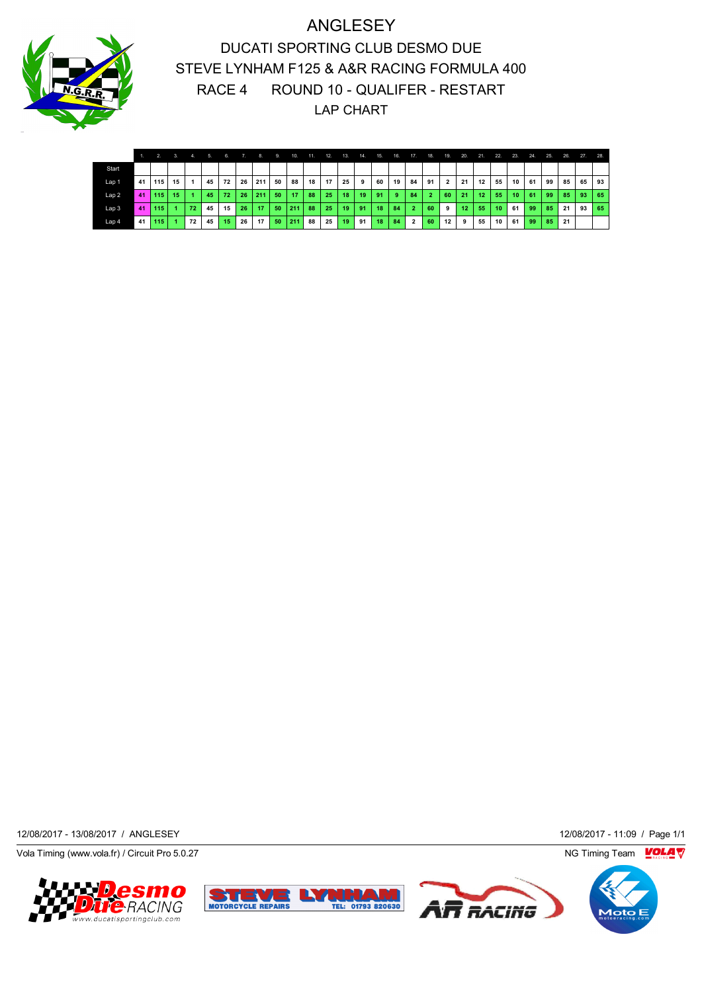

ANGLESEY DUCATI SPORTING CLUB DESMO DUE STEVE LYNHAM F125 & A&R RACING FORMULA 400 RACE 4 ROUND 10 - QUALIFER - RESTART LAP CHART

|                  |    |     | 3.  | 4.           | 5. | 6. |    | $-8.$ | 9. | 10. | 11. | 12. | $-13.$ | 14. | 15. | 16. | 17.            | 18.            | 19.            | 20. | 21.             | 22.             | 23.    | 24. | 25. | 26. | 27. | 28.             |
|------------------|----|-----|-----|--------------|----|----|----|-------|----|-----|-----|-----|--------|-----|-----|-----|----------------|----------------|----------------|-----|-----------------|-----------------|--------|-----|-----|-----|-----|-----------------|
| Start            |    |     |     |              |    |    |    |       |    |     |     |     |        |     |     |     |                |                |                |     |                 |                 |        |     |     |     |     |                 |
| Lap 1            | 41 | 115 | 15  |              | 45 | 72 | 26 | 211   | 50 | 88  | 18  | 17  | 25     | 9   | 60  | 19  | 84             | 91             | $\overline{2}$ | 21  | 12              | 55              | $10-1$ | 61  | 99  | 85  | 65  | 93              |
| Lap2             | 41 | 115 | -15 |              | 45 | 72 | 26 | 211   | 50 | 17  | 88  | 25  | 18     | -19 | 91  | -9  | 84             | $\overline{2}$ | 60             | 21  | 12 <sup>2</sup> | 55              | $10-1$ | 61  | 99  | 85. | 93  | 65 <sup>°</sup> |
| Lap <sub>3</sub> | 41 | 115 |     | $72^{\circ}$ | 45 | 15 | 26 | 17    | 50 | 211 | 88  | 25  | 19     | 91  | 18  | 84  | $\overline{2}$ | 60             | 9              | 12  | 55              | 10 <sup>°</sup> | 61     | 99  | 85  | -21 | 93  | 65              |
| Lap 4            | 41 | 115 |     | 72           | 45 | 15 | 26 | 17    | 50 | 211 | 88  | 25  | 19     | 91  | 18  | 84  | $\overline{2}$ | 60             | 12             | 9   | 55              | 10              | 61     | 99  | 85  | 21  |     |                 |

12/08/2017 - 13/08/2017 / ANGLESEY 12/08/2017 - 11:09 / Page 1/1

Vola Timing (www.vola.fr) / Circuit Pro 5.0.27 NG Timing Team VOLA V